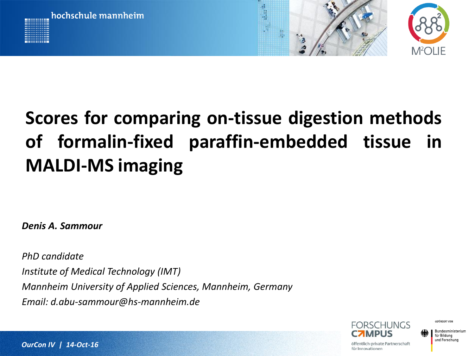

# **Scores for comparing on-tissue digestion methods of formalin-fixed paraffin-embedded tissue in MALDI-MS imaging**

*Denis A. Sammour*

*PhD candidate Institute of Medical Technology (IMT) Mannheim University of Applied Sciences, Mannheim, Germany Email: d.abu-sammour@hs-mannheim.de*

> ORSCHIJNGS öffentlich-private Partnerschaft für Innovationen

GEEÖRDERT VOM

Bundesministerium für Bildung und Forschung

*OurCon IV | 14-Oct-16*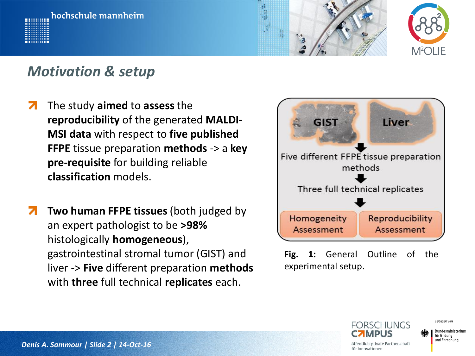





### *Motivation & setup*

- The study **aimed** to **assess** the **reproducibility** of the generated **MALDI-MSI data** with respect to **five published FFPE** tissue preparation **methods** -> a **key pre-requisite** for building reliable **classification** models.
- **Two human FFPE tissues** (both judged by 7 an expert pathologist to be **>98%**  histologically **homogeneous**), gastrointestinal stromal tumor (GIST) and liver -> **Five** different preparation **methods** with **three** full technical **replicates** each.



**Fig. 1:** General Outline of the experimental setup.



GEEÖRDERT VOM

Bundesministerium für Bildung und Forschung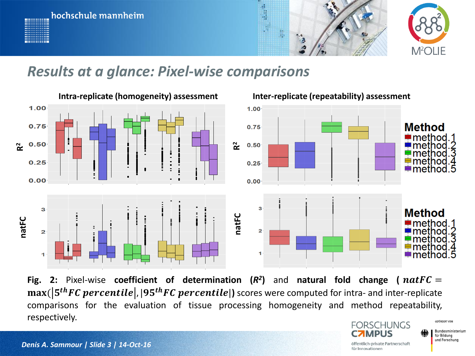

#### *Results at a glance: Pixel-wise comparisons*



**Fig.** 2: Pixel-wise coefficient of determination  $(R^2)$  and natural fold change ( $nateC =$  $\max(|5^{th}FC\,percentile|, |95^{th}FC\,percentile|)$  scores were computed for intra- and inter-replicate comparisons for the evaluation of tissue processing homogeneity and method repeatability, respectively.GEEÖRDERT VOM **FORSCHUNGS** 

hochschule mannheim

**Billioning** 

öffentlich-private Partnerschaft für Innovationen

IMPLIS

Bundesministerium

für Bildung und Forschung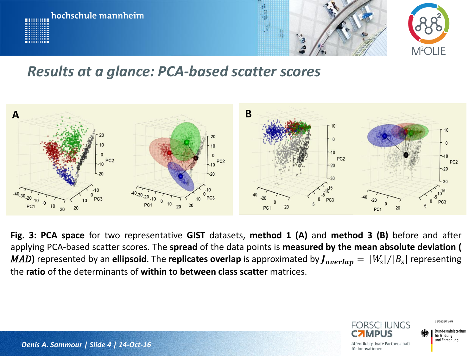

#### *Results at a glance: PCA-based scatter scores*



**Fig. 3: PCA space** for two representative **GIST** datasets, **method 1 (A)** and **method 3 (B)** before and after applying PCA-based scatter scores. The **spread** of the data points is **measured by the mean absolute deviation (**  $\bm{MAD}$ ) represented by an **ellipsoid**. The **replicates overlap** is approximated by  $\bm{J_{overlap}} = ~|W_S|/|B_S|$  representing the **ratio** of the determinants of **within to between class scatter** matrices.

> ORSCHI INGS öffentlich-private Partnerschaft für Innovationen

GEEÖRDERT VOM für Bildung

und Forschung

Bundesministerium

*Denis A. Sammour | Slide 4 | 14-Oct-16*